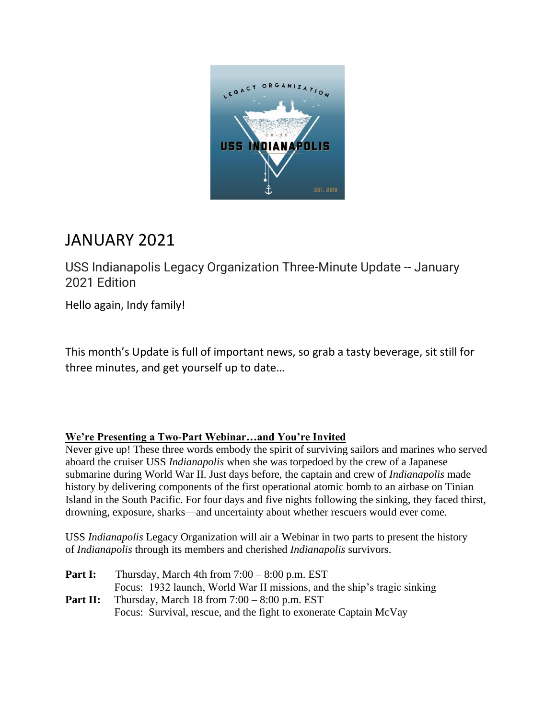

# JANUARY 2021

USS Indianapolis Legacy Organization Three-Minute Update -- January 2021 Edition

Hello again, Indy family!

This month's Update is full of important news, so grab a tasty beverage, sit still for three minutes, and get yourself up to date…

#### **We're Presenting a Two-Part Webinar…and You're Invited**

Never give up! These three words embody the spirit of surviving sailors and marines who served aboard the cruiser USS *Indianapolis* when she was torpedoed by the crew of a Japanese submarine during World War II. Just days before, the captain and crew of *Indianapolis* made history by delivering components of the first operational atomic bomb to an airbase on Tinian Island in the South Pacific. For four days and five nights following the sinking, they faced thirst, drowning, exposure, sharks—and uncertainty about whether rescuers would ever come.

USS *Indianapolis* Legacy Organization will air a Webinar in two parts to present the history of *Indianapolis* through its members and cherished *Indianapolis* survivors.

| Part I:  | Thursday, March 4th from $7:00 - 8:00$ p.m. EST                          |
|----------|--------------------------------------------------------------------------|
|          | Focus: 1932 launch, World War II missions, and the ship's tragic sinking |
| Part II: | Thursday, March 18 from $7:00 - 8:00$ p.m. EST                           |
|          | Focus: Survival, rescue, and the fight to exonerate Captain McVay        |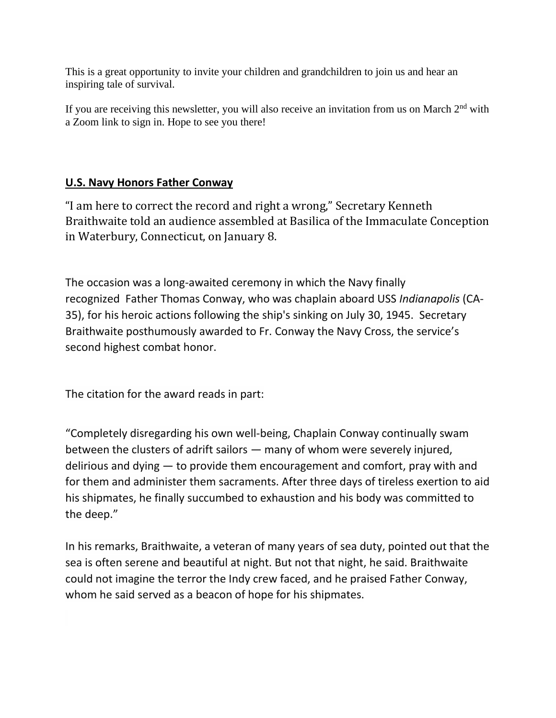This is a great opportunity to invite your children and grandchildren to join us and hear an inspiring tale of survival.

If you are receiving this newsletter, you will also receive an invitation from us on March  $2<sup>nd</sup>$  with a Zoom link to sign in. Hope to see you there!

## **U.S. Navy Honors Father Conway**

"I am here to correct the record and right a wrong," Secretary Kenneth Braithwaite told an audience assembled at Basilica of the Immaculate Conception in Waterbury, Connecticut, on January 8.

The occasion was a long-awaited ceremony in which the Navy finally recognized Father Thomas Conway, who was chaplain aboard USS *Indianapolis* (CA-35), for his heroic actions following the ship's sinking on July 30, 1945. Secretary Braithwaite posthumously awarded to Fr. Conway the Navy Cross, the service's second highest combat honor.

The citation for the award reads in part:

"Completely disregarding his own well-being, Chaplain Conway continually swam between the clusters of adrift sailors — many of whom were severely injured, delirious and dying — to provide them encouragement and comfort, pray with and for them and administer them sacraments. After three days of tireless exertion to aid his shipmates, he finally succumbed to exhaustion and his body was committed to the deep."

In his remarks, Braithwaite, a veteran of many years of sea duty, pointed out that the sea is often serene and beautiful at night. But not that night, he said. Braithwaite could not imagine the terror the Indy crew faced, and he praised Father Conway, whom he said served as a beacon of hope for his shipmates.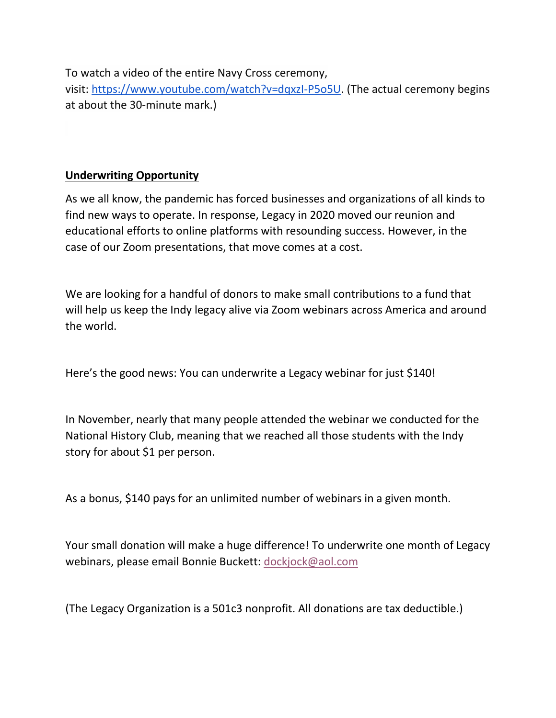To watch a video of the entire Navy Cross ceremony,

visit: [https://www.youtube.com/watch?v=dqxzI-P5o5U.](https://www.youtube.com/watch?v=dqxzI-P5o5U) (The actual ceremony begins at about the 30-minute mark.)

## **Underwriting Opportunity**

As we all know, the pandemic has forced businesses and organizations of all kinds to find new ways to operate. In response, Legacy in 2020 moved our reunion and educational efforts to online platforms with resounding success. However, in the case of our Zoom presentations, that move comes at a cost.

We are looking for a handful of donors to make small contributions to a fund that will help us keep the Indy legacy alive via Zoom webinars across America and around the world.

Here's the good news: You can underwrite a Legacy webinar for just \$140!

In November, nearly that many people attended the webinar we conducted for the National History Club, meaning that we reached all those students with the Indy story for about \$1 per person.

As a bonus, \$140 pays for an unlimited number of webinars in a given month.

Your small donation will make a huge difference! To underwrite one month of Legacy webinars, please email Bonnie Buckett: [dockjock@aol.com](mailto:dockjock@aol.com)

(The Legacy Organization is a 501c3 nonprofit. All donations are tax deductible.)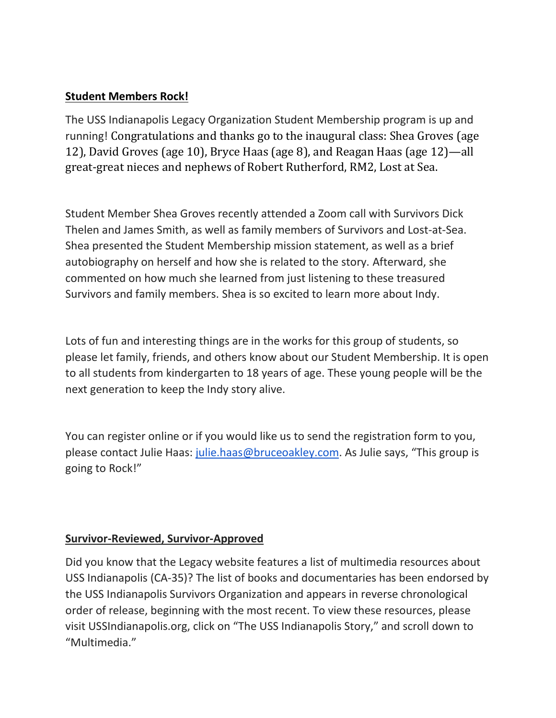## **Student Members Rock!**

The USS Indianapolis Legacy Organization Student Membership program is up and running! Congratulations and thanks go to the inaugural class: Shea Groves (age 12), David Groves (age 10), Bryce Haas (age 8), and Reagan Haas (age 12)—all great-great nieces and nephews of Robert Rutherford, RM2, Lost at Sea.

Student Member Shea Groves recently attended a Zoom call with Survivors Dick Thelen and James Smith, as well as family members of Survivors and Lost-at-Sea. Shea presented the Student Membership mission statement, as well as a brief autobiography on herself and how she is related to the story. Afterward, she commented on how much she learned from just listening to these treasured Survivors and family members. Shea is so excited to learn more about Indy.

Lots of fun and interesting things are in the works for this group of students, so please let family, friends, and others know about our Student Membership. It is open to all students from kindergarten to 18 years of age. These young people will be the next generation to keep the Indy story alive.

You can register online or if you would like us to send the registration form to you, please contact Julie Haas: [julie.haas@bruceoakley.com](mailto:julie.haas@bruceoakley.com). As Julie says, "This group is going to Rock!"

## **Survivor-Reviewed, Survivor-Approved**

Did you know that the Legacy website features a list of multimedia resources about USS Indianapolis (CA-35)? The list of books and documentaries has been endorsed by the USS Indianapolis Survivors Organization and appears in reverse chronological order of release, beginning with the most recent. To view these resources, please visit USSIndianapolis.org, click on "The USS Indianapolis Story," and scroll down to "Multimedia."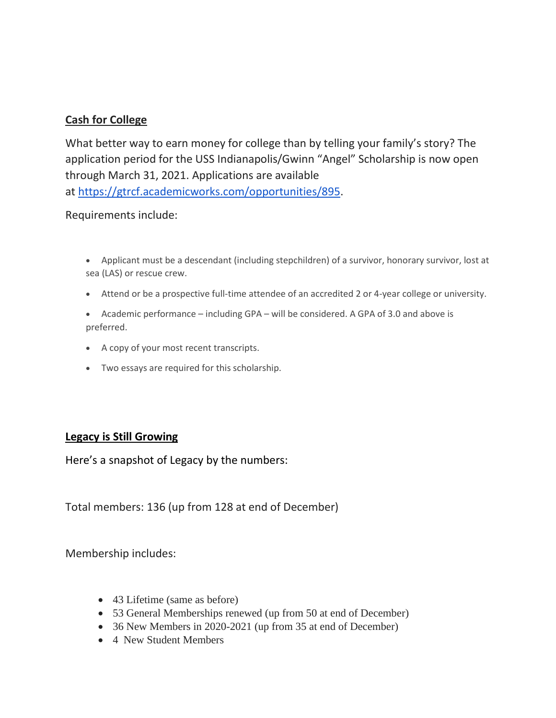### **Cash for College**

What better way to earn money for college than by telling your family's story? The application period for the USS Indianapolis/Gwinn "Angel" Scholarship is now open through March 31, 2021. Applications are available at [https://gtrcf.academicworks.com/opportunities/895.](https://gtrcf.academicworks.com/opportunities/895)

#### Requirements include:

- Applicant must be a descendant (including stepchildren) of a survivor, honorary survivor, lost at sea (LAS) or rescue crew.
- Attend or be a prospective full-time attendee of an accredited 2 or 4-year college or university.
- Academic performance including GPA will be considered. A GPA of 3.0 and above is preferred.
- A copy of your most recent transcripts.
- Two essays are required for this scholarship.

#### **Legacy is Still Growing**

Here's a snapshot of Legacy by the numbers:

Total members: 136 (up from 128 at end of December)

Membership includes:

- 43 Lifetime (same as before)
- 53 General Memberships renewed (up from 50 at end of December)
- 36 New Members in 2020-2021 (up from 35 at end of December)
- 4 New Student Members